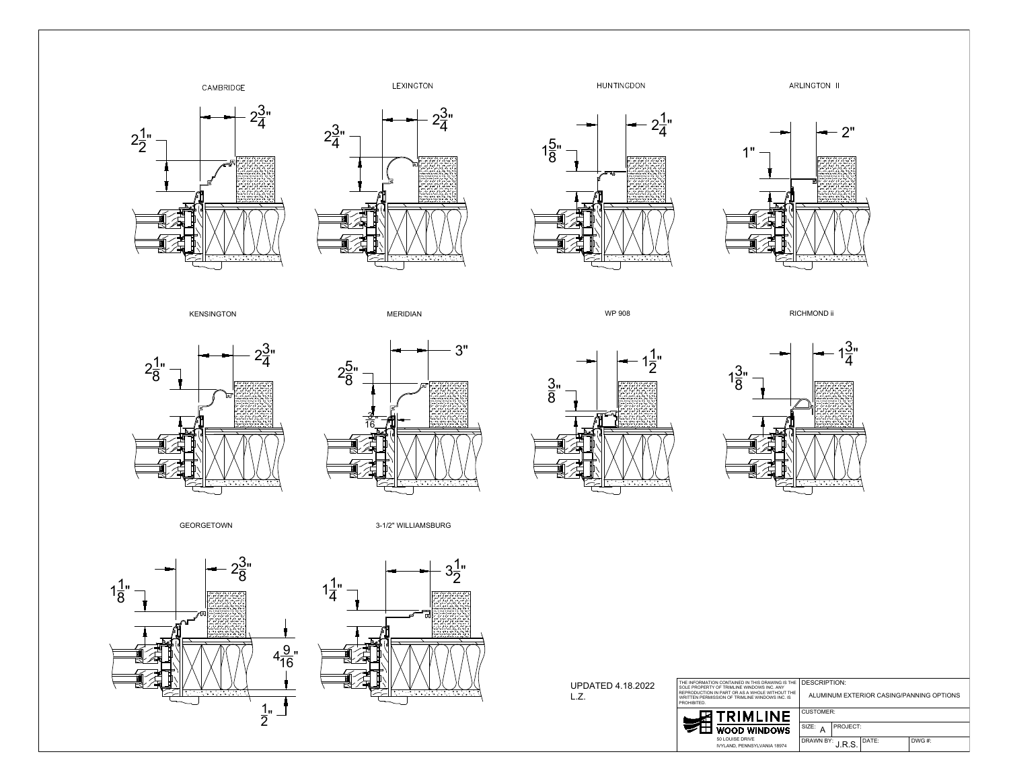

















| PDATED 4.18.2022 | THE INFORMATION CONTAINED IN THIS DRAWING IS THE<br>SOLE PROPERTY OF TRIMLINE WINDOWS INC. ANY<br>REPRODUCTION IN PART OR AS A WHOLE WITHOUT THE<br>WRITTEN PERMISSION OF TRIMLINE WINDOWS INC. IS<br><b>PROHIBITED</b> |                     |  | DESCRIPTION:<br>ALUMINUM EXTERIOR CASING/PANNING |          |  |       |
|------------------|-------------------------------------------------------------------------------------------------------------------------------------------------------------------------------------------------------------------------|---------------------|--|--------------------------------------------------|----------|--|-------|
|                  | <b>团TRIMLINE</b>                                                                                                                                                                                                        |                     |  | CUSTOMER:                                        |          |  |       |
|                  |                                                                                                                                                                                                                         | <b>WOOD WINDOWS</b> |  | SIZE:                                            | PROJECT: |  |       |
|                  |                                                                                                                                                                                                                         | 50 LOUISE DRIVE     |  | DRAWN BY: $ -$ DATE:                             |          |  | DWG # |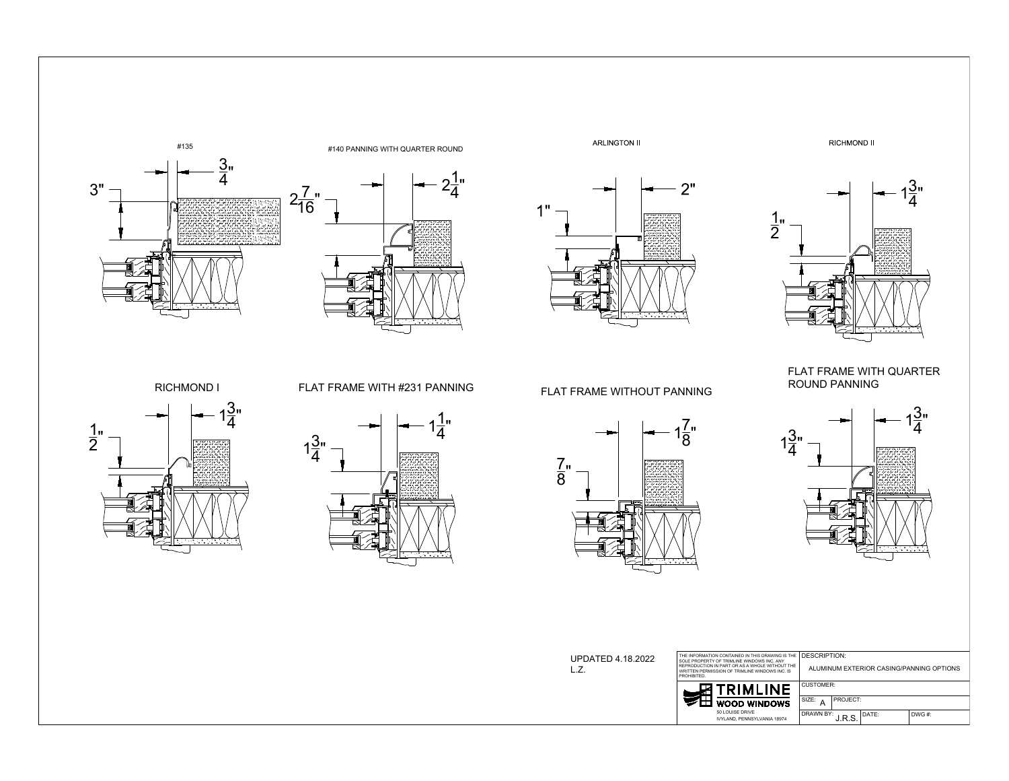













<sup>.wwi</sup><br>1<u>7</u>"